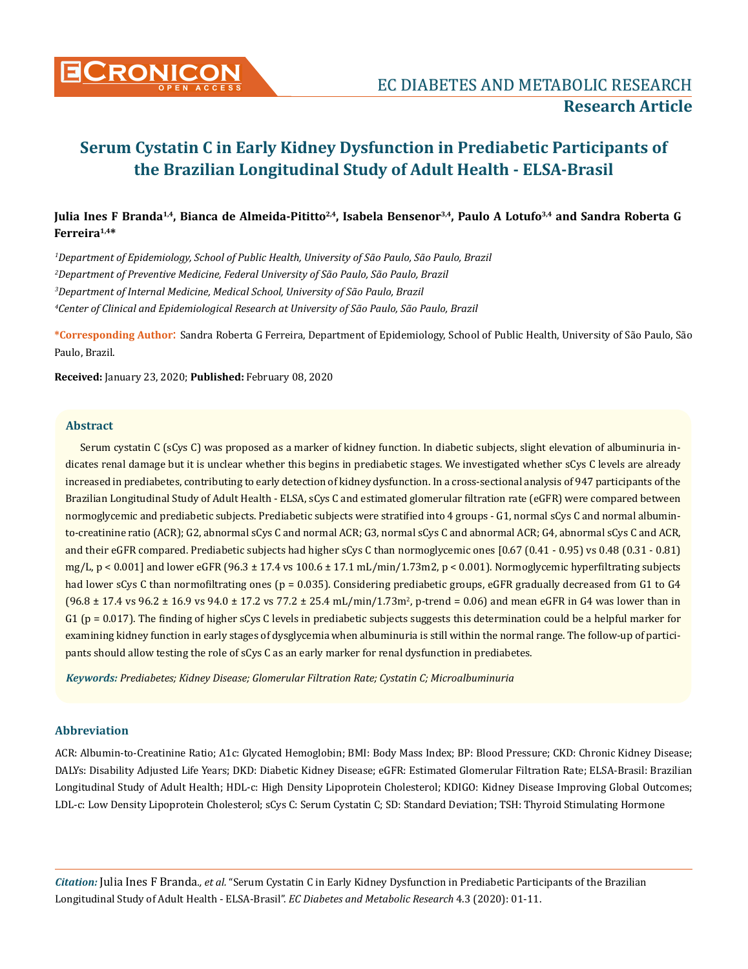

# Julia Ines F Branda<sup>1,4</sup>, Bianca de Almeida-Pititto<sup>2,4</sup>, Isabela Bensenor<sup>3,4</sup>, Paulo A Lotufo<sup>3,4</sup> and Sandra Roberta G **Ferreira1,4\***

 *Department of Epidemiology, School of Public Health, University of São Paulo, São Paulo, Brazil Department of Preventive Medicine, Federal University of São Paulo, São Paulo, Brazil Department of Internal Medicine, Medical School, University of São Paulo, Brazil Center of Clinical and Epidemiological Research at University of São Paulo, São Paulo, Brazil* 

**\*Corresponding Author**: Sandra Roberta G Ferreira, Department of Epidemiology, School of Public Health, University of São Paulo, São Paulo, Brazil.

**Received:** January 23, 2020; **Published:** February 08, 2020

#### **Abstract**

Serum cystatin C (sCys C) was proposed as a marker of kidney function. In diabetic subjects, slight elevation of albuminuria indicates renal damage but it is unclear whether this begins in prediabetic stages. We investigated whether sCys C levels are already increased in prediabetes, contributing to early detection of kidney dysfunction. In a cross-sectional analysis of 947 participants of the Brazilian Longitudinal Study of Adult Health - ELSA, sCys C and estimated glomerular filtration rate (eGFR) were compared between normoglycemic and prediabetic subjects. Prediabetic subjects were stratified into 4 groups - G1, normal sCys C and normal albuminto-creatinine ratio (ACR); G2, abnormal sCys C and normal ACR; G3, normal sCys C and abnormal ACR; G4, abnormal sCys C and ACR, and their eGFR compared. Prediabetic subjects had higher sCys C than normoglycemic ones [0.67 (0.41 - 0.95) vs 0.48 (0.31 - 0.81) mg/L, p < 0.001] and lower eGFR (96.3 ± 17.4 vs 100.6 ± 17.1 mL/min/1.73m2, p < 0.001). Normoglycemic hyperfiltrating subjects had lower sCys C than normofiltrating ones ( $p = 0.035$ ). Considering prediabetic groups, eGFR gradually decreased from G1 to G4  $(96.8 \pm 17.4 \text{ vs } 96.2 \pm 16.9 \text{ vs } 94.0 \pm 17.2 \text{ vs } 77.2 \pm 25.4 \text{ mL/min}/1.73 \text{ m}^2, \text{ p-trend} = 0.06)$  and mean eGFR in G4 was lower than in G1 ( $p = 0.017$ ). The finding of higher sCys C levels in prediabetic subjects suggests this determination could be a helpful marker for examining kidney function in early stages of dysglycemia when albuminuria is still within the normal range. The follow-up of participants should allow testing the role of sCys C as an early marker for renal dysfunction in prediabetes.

*Keywords: Prediabetes; Kidney Disease; Glomerular Filtration Rate; Cystatin C; Microalbuminuria*

### **Abbreviation**

ACR: Albumin-to-Creatinine Ratio; A1c: Glycated Hemoglobin; BMI: Body Mass Index; BP: Blood Pressure; CKD: Chronic Kidney Disease; DALYs: Disability Adjusted Life Years; DKD: Diabetic Kidney Disease; eGFR: Estimated Glomerular Filtration Rate; ELSA-Brasil: Brazilian Longitudinal Study of Adult Health; HDL-c: High Density Lipoprotein Cholesterol; KDIGO: Kidney Disease Improving Global Outcomes; LDL-c: Low Density Lipoprotein Cholesterol; sCys C: Serum Cystatin C; SD: Standard Deviation; TSH: Thyroid Stimulating Hormone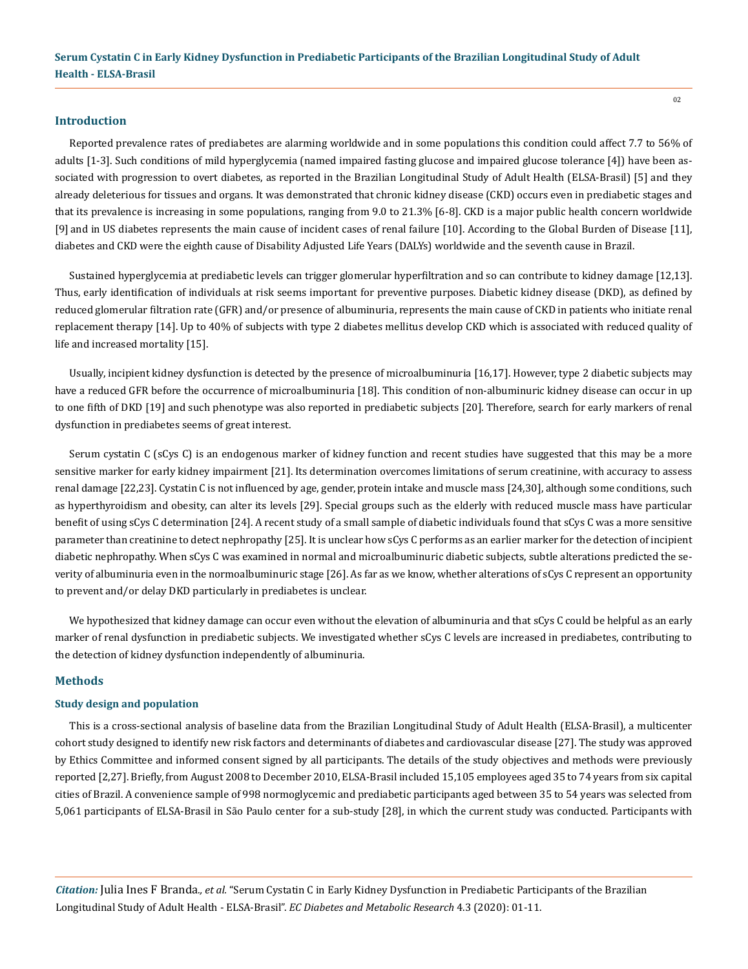### **Introduction**

Reported prevalence rates of prediabetes are alarming worldwide and in some populations this condition could affect 7.7 to 56% of adults [1-3]. Such conditions of mild hyperglycemia (named impaired fasting glucose and impaired glucose tolerance [4]) have been associated with progression to overt diabetes, as reported in the Brazilian Longitudinal Study of Adult Health (ELSA-Brasil) [5] and they already deleterious for tissues and organs. It was demonstrated that chronic kidney disease (CKD) occurs even in prediabetic stages and that its prevalence is increasing in some populations, ranging from 9.0 to 21.3% [6-8]. CKD is a major public health concern worldwide [9] and in US diabetes represents the main cause of incident cases of renal failure [10]. According to the Global Burden of Disease [11], diabetes and CKD were the eighth cause of Disability Adjusted Life Years (DALYs) worldwide and the seventh cause in Brazil.

Sustained hyperglycemia at prediabetic levels can trigger glomerular hyperfiltration and so can contribute to kidney damage [12,13]. Thus, early identification of individuals at risk seems important for preventive purposes. Diabetic kidney disease (DKD), as defined by reduced glomerular filtration rate (GFR) and/or presence of albuminuria, represents the main cause of CKD in patients who initiate renal replacement therapy [14]. Up to 40% of subjects with type 2 diabetes mellitus develop CKD which is associated with reduced quality of life and increased mortality [15].

Usually, incipient kidney dysfunction is detected by the presence of microalbuminuria [16,17]. However, type 2 diabetic subjects may have a reduced GFR before the occurrence of microalbuminuria [18]. This condition of non-albuminuric kidney disease can occur in up to one fifth of DKD [19] and such phenotype was also reported in prediabetic subjects [20]. Therefore, search for early markers of renal dysfunction in prediabetes seems of great interest.

Serum cystatin C (sCys C) is an endogenous marker of kidney function and recent studies have suggested that this may be a more sensitive marker for early kidney impairment [21]. Its determination overcomes limitations of serum creatinine, with accuracy to assess renal damage [22,23]. Cystatin C is not influenced by age, gender, protein intake and muscle mass [24,30], although some conditions, such as hyperthyroidism and obesity, can alter its levels [29]. Special groups such as the elderly with reduced muscle mass have particular benefit of using sCys C determination [24]. A recent study of a small sample of diabetic individuals found that sCys C was a more sensitive parameter than creatinine to detect nephropathy [25]. It is unclear how sCys C performs as an earlier marker for the detection of incipient diabetic nephropathy. When sCys C was examined in normal and microalbuminuric diabetic subjects, subtle alterations predicted the severity of albuminuria even in the normoalbuminuric stage [26]. As far as we know, whether alterations of sCys C represent an opportunity to prevent and/or delay DKD particularly in prediabetes is unclear.

We hypothesized that kidney damage can occur even without the elevation of albuminuria and that sCys C could be helpful as an early marker of renal dysfunction in prediabetic subjects. We investigated whether sCys C levels are increased in prediabetes, contributing to the detection of kidney dysfunction independently of albuminuria.

#### **Methods**

#### **Study design and population**

This is a cross-sectional analysis of baseline data from the Brazilian Longitudinal Study of Adult Health (ELSA-Brasil), a multicenter cohort study designed to identify new risk factors and determinants of diabetes and cardiovascular disease [27]. The study was approved by Ethics Committee and informed consent signed by all participants. The details of the study objectives and methods were previously reported [2,27]. Briefly, from August 2008 to December 2010, ELSA-Brasil included 15,105 employees aged 35 to 74 years from six capital cities of Brazil. A convenience sample of 998 normoglycemic and prediabetic participants aged between 35 to 54 years was selected from 5,061 participants of ELSA-Brasil in São Paulo center for a sub-study [28], in which the current study was conducted. Participants with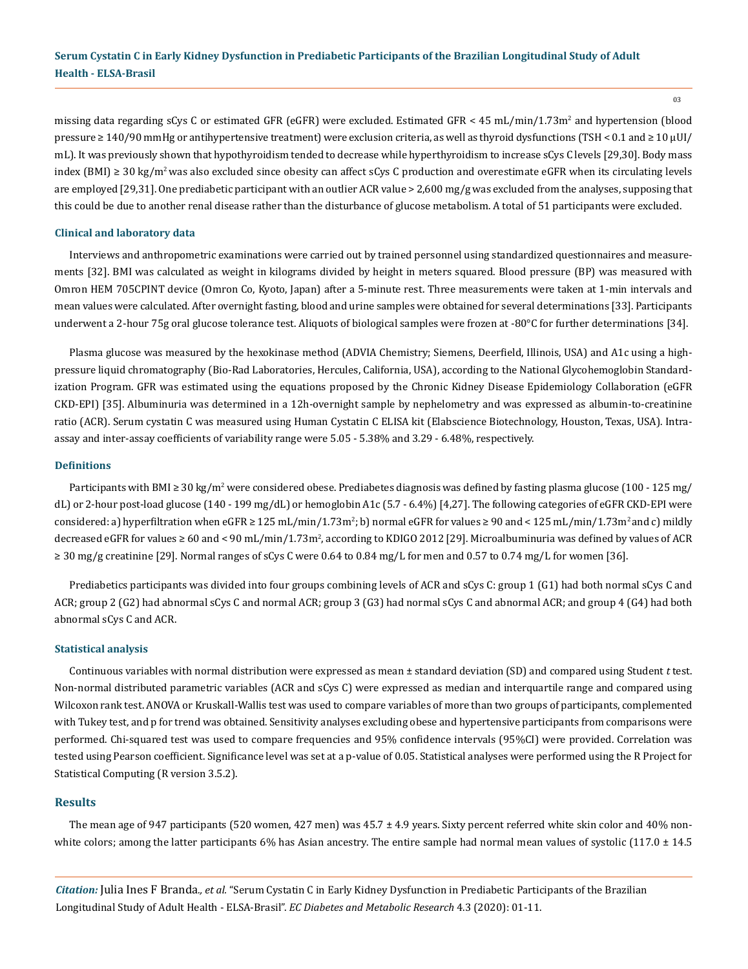03

missing data regarding sCys C or estimated GFR (eGFR) were excluded. Estimated GFR < 45 mL/min/1.73m<sup>2</sup> and hypertension (blood pressure ≥ 140/90 mmHg or antihypertensive treatment) were exclusion criteria, as well as thyroid dysfunctions (TSH < 0.1 and ≥ 10 µUI/ mL). It was previously shown that hypothyroidism tended to decrease while hyperthyroidism to increase sCys C levels [29,30]. Body mass index (BMI) ≥ 30 kg/m<sup>2</sup> was also excluded since obesity can affect sCys C production and overestimate eGFR when its circulating levels are employed [29,31]. One prediabetic participant with an outlier ACR value > 2,600 mg/g was excluded from the analyses, supposing that this could be due to another renal disease rather than the disturbance of glucose metabolism. A total of 51 participants were excluded.

### **Clinical and laboratory data**

Interviews and anthropometric examinations were carried out by trained personnel using standardized questionnaires and measurements [32]. BMI was calculated as weight in kilograms divided by height in meters squared. Blood pressure (BP) was measured with Omron HEM 705CPINT device (Omron Co, Kyoto, Japan) after a 5-minute rest. Three measurements were taken at 1-min intervals and mean values were calculated. After overnight fasting, blood and urine samples were obtained for several determinations [33]. Participants underwent a 2-hour 75g oral glucose tolerance test. Aliquots of biological samples were frozen at -80°C for further determinations [34].

Plasma glucose was measured by the hexokinase method (ADVIA Chemistry; Siemens, Deerfield, Illinois, USA) and A1c using a highpressure liquid chromatography (Bio-Rad Laboratories, Hercules, California, USA), according to the National Glycohemoglobin Standardization Program. GFR was estimated using the equations proposed by the Chronic Kidney Disease Epidemiology Collaboration (eGFR CKD-EPI) [35]. Albuminuria was determined in a 12h-overnight sample by nephelometry and was expressed as albumin-to-creatinine ratio (ACR). Serum cystatin C was measured using Human Cystatin C ELISA kit (Elabscience Biotechnology, Houston, Texas, USA). Intraassay and inter-assay coefficients of variability range were 5.05 - 5.38% and 3.29 - 6.48%, respectively.

#### **Definitions**

Participants with BMI ≥ 30 kg/m<sup>2</sup> were considered obese. Prediabetes diagnosis was defined by fasting plasma glucose (100 - 125 mg/ dL) or 2-hour post-load glucose (140 - 199 mg/dL) or hemoglobin A1c (5.7 - 6.4%) [4,27]. The following categories of eGFR CKD-EPI were considered: a) hyperfiltration when  $e$ GFR ≥ 125 mL/min/1.73m²; b) normal  $e$ GFR for values ≥ 90 and < 125 mL/min/1.73m² and c) mildly decreased eGFR for values ≥ 60 and < 90 mL/min/1.73m<sup>2</sup>, according to KDIGO 2012 [29]. Microalbuminuria was defined by values of ACR ≥ 30 mg/g creatinine [29]. Normal ranges of sCys C were 0.64 to 0.84 mg/L for men and 0.57 to 0.74 mg/L for women [36].

Prediabetics participants was divided into four groups combining levels of ACR and sCys C: group 1 (G1) had both normal sCys C and ACR; group 2 (G2) had abnormal sCys C and normal ACR; group 3 (G3) had normal sCys C and abnormal ACR; and group 4 (G4) had both abnormal sCys C and ACR.

#### **Statistical analysis**

Continuous variables with normal distribution were expressed as mean ± standard deviation (SD) and compared using Student *t* test. Non-normal distributed parametric variables (ACR and sCys C) were expressed as median and interquartile range and compared using Wilcoxon rank test. ANOVA or Kruskall-Wallis test was used to compare variables of more than two groups of participants, complemented with Tukey test, and p for trend was obtained. Sensitivity analyses excluding obese and hypertensive participants from comparisons were performed. Chi-squared test was used to compare frequencies and 95% confidence intervals (95%CI) were provided. Correlation was tested using Pearson coefficient. Significance level was set at a p-value of 0.05. Statistical analyses were performed using the R Project for Statistical Computing (R version 3.5.2).

#### **Results**

The mean age of 947 participants (520 women, 427 men) was 45.7 ± 4.9 years. Sixty percent referred white skin color and 40% nonwhite colors; among the latter participants 6% has Asian ancestry. The entire sample had normal mean values of systolic  $(117.0 \pm 14.5$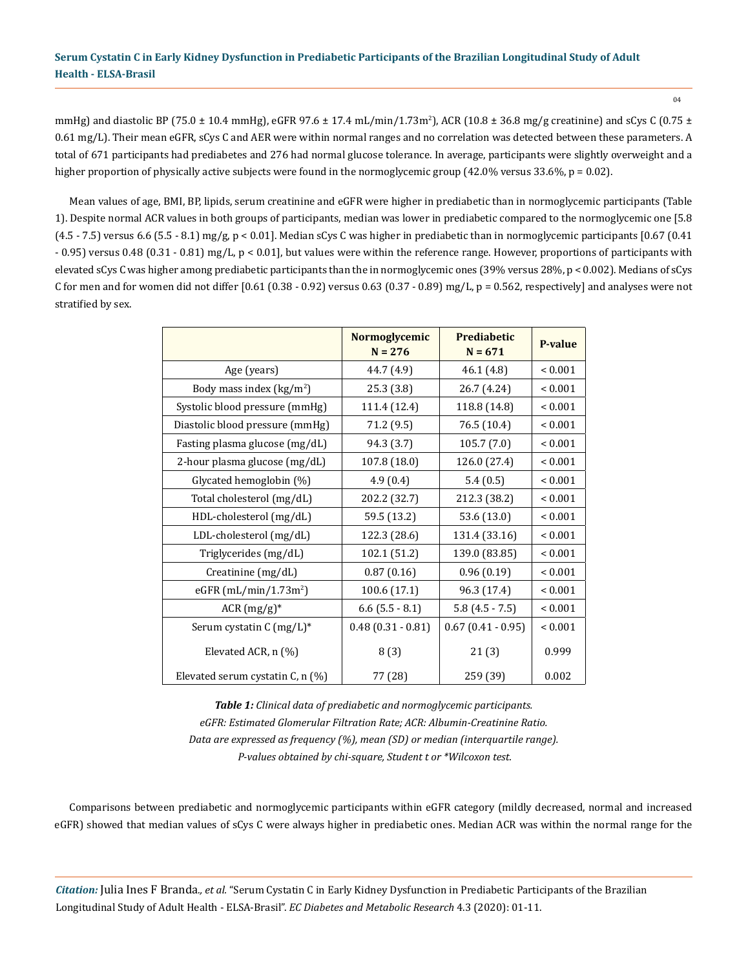mmHg) and diastolic BP (75.0 ± 10.4 mmHg), eGFR 97.6 ± 17.4 mL/min/1.73m<sup>2</sup>), ACR (10.8 ± 36.8 mg/g creatinine) and sCys C (0.75 ± 0.61 mg/L). Their mean eGFR, sCys C and AER were within normal ranges and no correlation was detected between these parameters. A total of 671 participants had prediabetes and 276 had normal glucose tolerance. In average, participants were slightly overweight and a higher proportion of physically active subjects were found in the normoglycemic group  $(42.0\%$  versus 33.6%,  $p = 0.02$ ).

Mean values of age, BMI, BP, lipids, serum creatinine and eGFR were higher in prediabetic than in normoglycemic participants (Table 1). Despite normal ACR values in both groups of participants, median was lower in prediabetic compared to the normoglycemic one [5.8  $(4.5 - 7.5)$  versus 6.6  $(5.5 - 8.1)$  mg/g,  $p < 0.01$ ]. Median sCys C was higher in prediabetic than in normoglycemic participants  $[0.67 (0.41)$ - 0.95) versus 0.48 (0.31 - 0.81) mg/L, p < 0.01], but values were within the reference range. However, proportions of participants with elevated sCys C was higher among prediabetic participants than the in normoglycemic ones (39% versus 28%, p < 0.002). Medians of sCys C for men and for women did not differ  $[0.61 (0.38 - 0.92)$  versus  $0.63 (0.37 - 0.89)$  mg/L,  $p = 0.562$ , respectively] and analyses were not stratified by sex.

|                                        | Normoglycemic<br>$N = 276$ | <b>Prediabetic</b><br>$N = 671$ | <b>P-value</b> |
|----------------------------------------|----------------------------|---------------------------------|----------------|
| Age (years)                            | 44.7 (4.9)                 | 46.1 (4.8)                      | ${}_{0.001}$   |
| Body mass index $(kg/m2)$              | 25.3(3.8)                  | 26.7 (4.24)                     | ${}_{0.001}$   |
| Systolic blood pressure (mmHg)         | 111.4 (12.4)               | 118.8 (14.8)                    | ${}_{0.001}$   |
| Diastolic blood pressure (mmHg)        | 71.2 (9.5)                 | 76.5 (10.4)                     | ${}_{0.001}$   |
| Fasting plasma glucose (mg/dL)         | 94.3 (3.7)                 | 105.7(7.0)                      | ${}< 0.001$    |
| 2-hour plasma glucose (mg/dL)          | 107.8 (18.0)               | 126.0 (27.4)                    | ${}_{0.001}$   |
| Glycated hemoglobin (%)                | 4.9(0.4)                   | 5.4(0.5)                        | ${}_{0.001}$   |
| Total cholesterol (mg/dL)              | 202.2 (32.7)               | 212.3 (38.2)                    | ${}< 0.001$    |
| HDL-cholesterol (mg/dL)                | 59.5 (13.2)                | 53.6 (13.0)                     | ${}< 0.001$    |
| LDL-cholesterol (mg/dL)                | 122.3 (28.6)               | 131.4 (33.16)                   | ${}_{0.001}$   |
| Triglycerides (mg/dL)                  | 102.1 (51.2)               | 139.0 (83.85)                   | ${}_{0.001}$   |
| Creatinine (mg/dL)                     | 0.87(0.16)                 | 0.96(0.19)                      | ${}_{0.001}$   |
| eGFR $(mL/min/1.73m2)$                 | 100.6 (17.1)               | 96.3 (17.4)                     | ${}_{0.001}$   |
| $ACR (mg/g)*$                          | $6.6$ (5.5 - 8.1)          | $5.8(4.5 - 7.5)$                | ${}_{0.001}$   |
| Serum cystatin $C \, (mg/L)^*$         | $0.48(0.31 - 0.81)$        | $0.67$ (0.41 - 0.95)            | ${}< 0.001$    |
| Elevated ACR, n (%)                    | 8(3)                       | 21(3)                           | 0.999          |
| Elevated serum cystatin $C$ , n $(\%)$ | 77 (28)                    | 259 (39)                        | 0.002          |

*Table 1: Clinical data of prediabetic and normoglycemic participants. eGFR: Estimated Glomerular Filtration Rate; ACR: Albumin-Creatinine Ratio. Data are expressed as frequency (%), mean (SD) or median (interquartile range). P-values obtained by chi-square, Student t or \*Wilcoxon test.*

Comparisons between prediabetic and normoglycemic participants within eGFR category (mildly decreased, normal and increased eGFR) showed that median values of sCys C were always higher in prediabetic ones. Median ACR was within the normal range for the

*Citation:* Julia Ines F Branda*., et al.* "Serum Cystatin C in Early Kidney Dysfunction in Prediabetic Participants of the Brazilian Longitudinal Study of Adult Health - ELSA-Brasil". *EC Diabetes and Metabolic Research* 4.3 (2020): 01-11.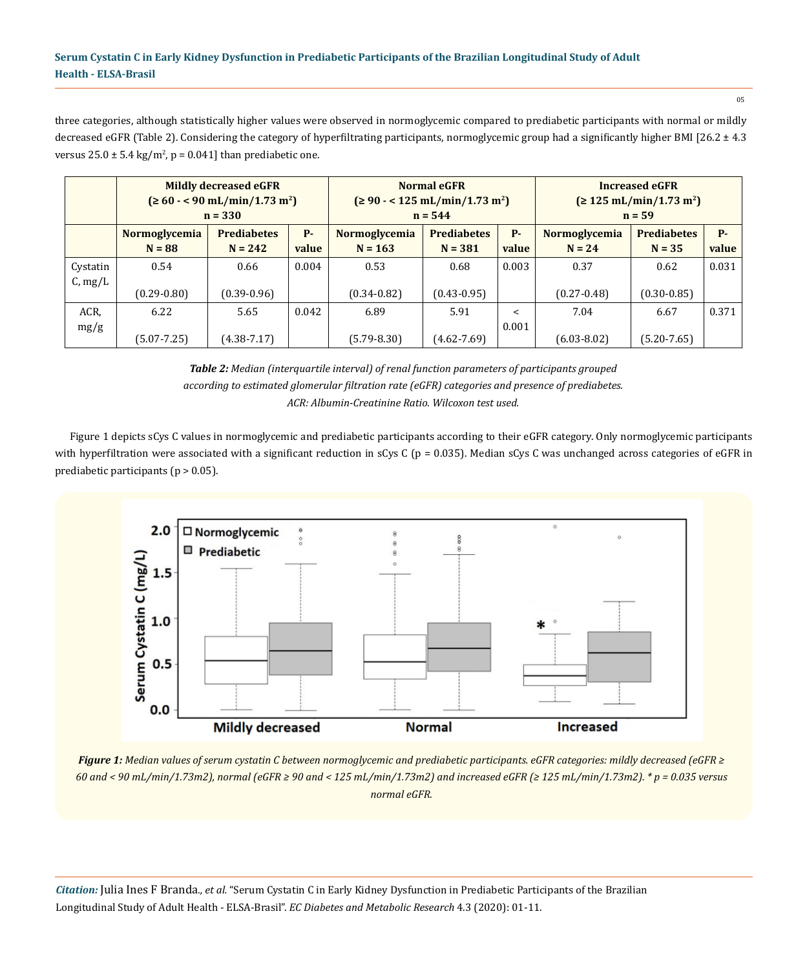05

three categories, although statistically higher values were observed in normoglycemic compared to prediabetic participants with normal or mildly decreased eGFR (Table 2). Considering the category of hyperfiltrating participants, normoglycemic group had a significantly higher BMI [26.2 ± 4.3 versus  $25.0 \pm 5.4 \text{ kg/m}^2$ ,  $p = 0.041$ ] than prediabetic one.

|          | <b>Mildly decreased eGFR</b><br>$( \geq 60 - < 90 \text{ mL/min} / 1.73 \text{ m}^2 )$<br>$n = 330$ |                                 |                    | <b>Normal eGFR</b><br>$(290 - 125 \text{ mL/min}/1.73 \text{ m}^2)$<br>$n = 544$ |                                 |                    | <b>Increased eGFR</b><br>$( \geq 125 \text{ mL/min} / 1.73 \text{ m}^2 )$<br>$n = 59$ |                                |                    |
|----------|-----------------------------------------------------------------------------------------------------|---------------------------------|--------------------|----------------------------------------------------------------------------------|---------------------------------|--------------------|---------------------------------------------------------------------------------------|--------------------------------|--------------------|
|          | Normoglycemia<br>$N = 88$                                                                           | <b>Prediabetes</b><br>$N = 242$ | <b>P-</b><br>value | <b>Normoglycemia</b><br>$N = 163$                                                | <b>Prediabetes</b><br>$N = 381$ | <b>P-</b><br>value | <b>Normoglycemia</b><br>$N = 24$                                                      | <b>Prediabetes</b><br>$N = 35$ | <b>P-</b><br>value |
|          |                                                                                                     |                                 |                    |                                                                                  |                                 |                    |                                                                                       |                                |                    |
| Cystatin | 0.54                                                                                                | 0.66                            | 0.004              | 0.53                                                                             | 0.68                            | 0.003              | 0.37                                                                                  | 0.62                           | 0.031              |
| C, mg/L  |                                                                                                     |                                 |                    |                                                                                  |                                 |                    |                                                                                       |                                |                    |
|          | $(0.29 - 0.80)$                                                                                     | $(0.39 - 0.96)$                 |                    | $(0.34 - 0.82)$                                                                  | $(0.43 - 0.95)$                 |                    | $(0.27 - 0.48)$                                                                       | $(0.30 - 0.85)$                |                    |
| ACR,     | 6.22                                                                                                | 5.65                            | 0.042              | 6.89                                                                             | 5.91                            | $\,<\,$            | 7.04                                                                                  | 6.67                           | 0.371              |
| mg/g     |                                                                                                     |                                 |                    |                                                                                  |                                 | 0.001              |                                                                                       |                                |                    |
|          | $(5.07 - 7.25)$                                                                                     | $(4.38 - 7.17)$                 |                    | $(5.79 - 8.30)$                                                                  | $(4.62 - 7.69)$                 |                    | $(6.03 - 8.02)$                                                                       | $(5.20 - 7.65)$                |                    |

*Table 2: Median (interquartile interval) of renal function parameters of participants grouped according to estimated glomerular filtration rate (eGFR) categories and presence of prediabetes. ACR: Albumin-Creatinine Ratio. Wilcoxon test used.*

Figure 1 depicts sCys C values in normoglycemic and prediabetic participants according to their eGFR category. Only normoglycemic participants with hyperfiltration were associated with a significant reduction in sCys C ( $p = 0.035$ ). Median sCys C was unchanged across categories of eGFR in prediabetic participants (p > 0.05).



*Figure 1: Median values of serum cystatin C between normoglycemic and prediabetic participants. eGFR categories: mildly decreased (eGFR ≥ 60 and < 90 mL/min/1.73m2), normal (eGFR ≥ 90 and < 125 mL/min/1.73m2) and increased eGFR (≥ 125 mL/min/1.73m2). \* p = 0.035 versus normal eGFR.*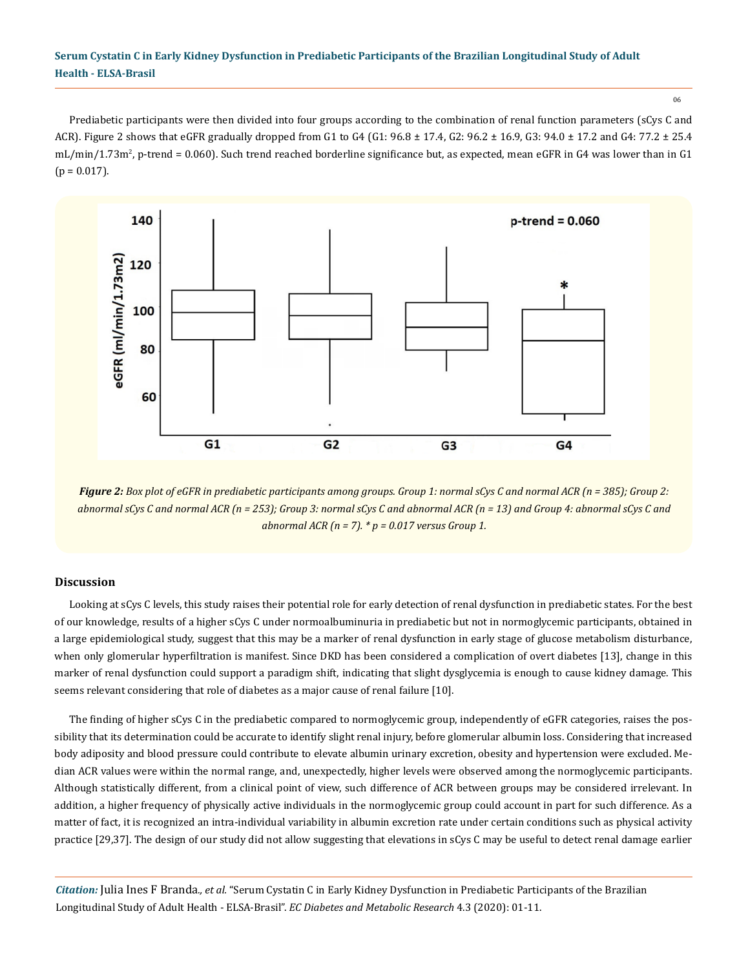06

Prediabetic participants were then divided into four groups according to the combination of renal function parameters (sCys C and ACR). Figure 2 shows that eGFR gradually dropped from G1 to G4 (G1:  $96.8 \pm 17.4$ , G2:  $96.2 \pm 16.9$ , G3:  $94.0 \pm 17.2$  and G4:  $77.2 \pm 25.4$ mL/min/1.73m<sup>2</sup>, p-trend = 0.060). Such trend reached borderline significance but, as expected, mean eGFR in G4 was lower than in G1  $(p = 0.017)$ .



*Figure 2: Box plot of eGFR in prediabetic participants among groups. Group 1: normal sCys C and normal ACR (n = 385); Group 2: abnormal sCys C and normal ACR (n = 253); Group 3: normal sCys C and abnormal ACR (n = 13) and Group 4: abnormal sCys C and abnormal ACR (n = 7). \* p = 0.017 versus Group 1.*

### **Discussion**

Looking at sCys C levels, this study raises their potential role for early detection of renal dysfunction in prediabetic states. For the best of our knowledge, results of a higher sCys C under normoalbuminuria in prediabetic but not in normoglycemic participants, obtained in a large epidemiological study, suggest that this may be a marker of renal dysfunction in early stage of glucose metabolism disturbance, when only glomerular hyperfiltration is manifest. Since DKD has been considered a complication of overt diabetes [13], change in this marker of renal dysfunction could support a paradigm shift, indicating that slight dysglycemia is enough to cause kidney damage. This seems relevant considering that role of diabetes as a major cause of renal failure [10].

The finding of higher sCys C in the prediabetic compared to normoglycemic group, independently of eGFR categories, raises the possibility that its determination could be accurate to identify slight renal injury, before glomerular albumin loss. Considering that increased body adiposity and blood pressure could contribute to elevate albumin urinary excretion, obesity and hypertension were excluded. Median ACR values were within the normal range, and, unexpectedly, higher levels were observed among the normoglycemic participants. Although statistically different, from a clinical point of view, such difference of ACR between groups may be considered irrelevant. In addition, a higher frequency of physically active individuals in the normoglycemic group could account in part for such difference. As a matter of fact, it is recognized an intra-individual variability in albumin excretion rate under certain conditions such as physical activity practice [29,37]. The design of our study did not allow suggesting that elevations in sCys C may be useful to detect renal damage earlier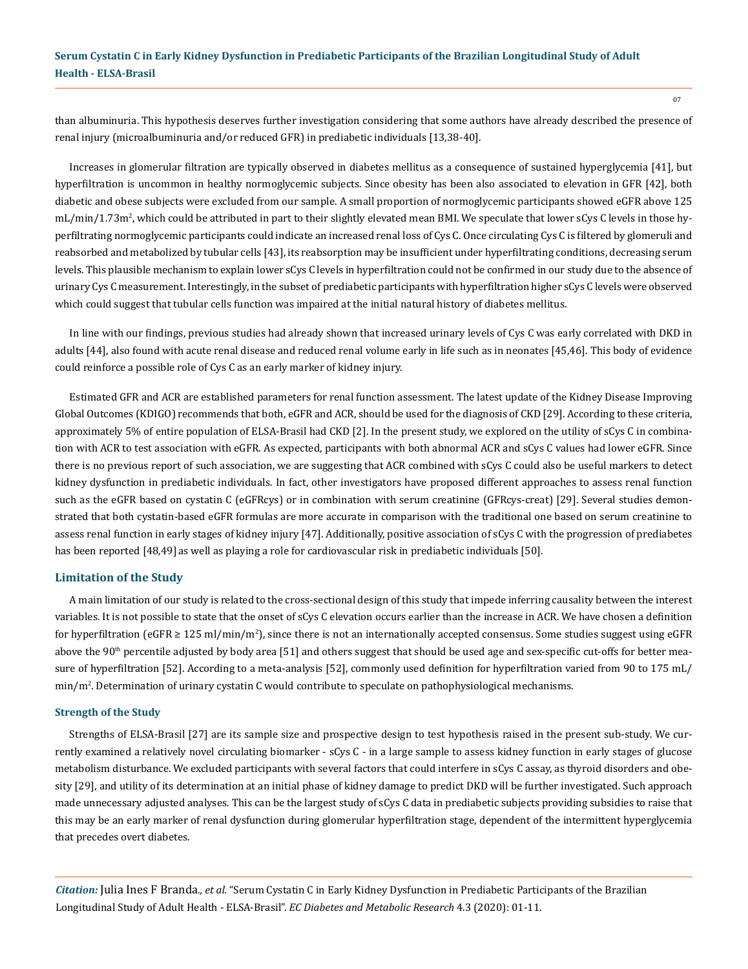than albuminuria. This hypothesis deserves further investigation considering that some authors have already described the presence of renal injury (microalbuminuria and/or reduced GFR) in prediabetic individuals [13,38-40].

Increases in glomerular filtration are typically observed in diabetes mellitus as a consequence of sustained hyperglycemia [41], but hyperfiltration is uncommon in healthy normoglycemic subjects. Since obesity has been also associated to elevation in GFR [42], both diabetic and obese subjects were excluded from our sample. A small proportion of normoglycemic participants showed eGFR above 125 mL/min/1.73m², which could be attributed in part to their slightly elevated mean BMI. We speculate that lower sCys C levels in those hyperfiltrating normoglycemic participants could indicate an increased renal loss of Cys C. Once circulating Cys C is filtered by glomeruli and reabsorbed and metabolized by tubular cells [43], its reabsorption may be insufficient under hyperfiltrating conditions, decreasing serum levels. This plausible mechanism to explain lower sCys C levels in hyperfiltration could not be confirmed in our study due to the absence of urinary Cys C measurement. Interestingly, in the subset of prediabetic participants with hyperfiltration higher sCys C levels were observed which could suggest that tubular cells function was impaired at the initial natural history of diabetes mellitus.

In line with our findings, previous studies had already shown that increased urinary levels of Cys C was early correlated with DKD in adults [44], also found with acute renal disease and reduced renal volume early in life such as in neonates [45,46]. This body of evidence could reinforce a possible role of Cys C as an early marker of kidney injury.

Estimated GFR and ACR are established parameters for renal function assessment. The latest update of the Kidney Disease Improving Global Outcomes (KDIGO) recommends that both, eGFR and ACR, should be used for the diagnosis of CKD [29]. According to these criteria, approximately 5% of entire population of ELSA-Brasil had CKD [2]. In the present study, we explored on the utility of sCys C in combination with ACR to test association with eGFR. As expected, participants with both abnormal ACR and sCys C values had lower eGFR. Since there is no previous report of such association, we are suggesting that ACR combined with sCys C could also be useful markers to detect kidney dysfunction in prediabetic individuals. In fact, other investigators have proposed different approaches to assess renal function such as the eGFR based on cystatin C (eGFRcys) or in combination with serum creatinine (GFRcys-creat) [29]. Several studies demonstrated that both cystatin-based eGFR formulas are more accurate in comparison with the traditional one based on serum creatinine to assess renal function in early stages of kidney injury [47]. Additionally, positive association of sCys C with the progression of prediabetes has been reported [48,49] as well as playing a role for cardiovascular risk in prediabetic individuals [50].

#### **Limitation of the Study**

A main limitation of our study is related to the cross-sectional design of this study that impede inferring causality between the interest variables. It is not possible to state that the onset of sCys C elevation occurs earlier than the increase in ACR. We have chosen a definition for hyperfiltration (eGFR ≥ 125 ml/min/m<sup>2</sup>), since there is not an internationally accepted consensus. Some studies suggest using eGFR above the  $90<sup>th</sup>$  percentile adjusted by body area [51] and others suggest that should be used age and sex-specific cut-offs for better measure of hyperfiltration [52]. According to a meta-analysis [52], commonly used definition for hyperfiltration varied from 90 to 175 mL/ min/m<sup>2</sup> . Determination of urinary cystatin C would contribute to speculate on pathophysiological mechanisms.

#### **Strength of the Study**

Strengths of ELSA-Brasil [27] are its sample size and prospective design to test hypothesis raised in the present sub-study. We currently examined a relatively novel circulating biomarker - sCys C - in a large sample to assess kidney function in early stages of glucose metabolism disturbance. We excluded participants with several factors that could interfere in sCys C assay, as thyroid disorders and obesity [29], and utility of its determination at an initial phase of kidney damage to predict DKD will be further investigated. Such approach made unnecessary adjusted analyses. This can be the largest study of sCys C data in prediabetic subjects providing subsidies to raise that this may be an early marker of renal dysfunction during glomerular hyperfiltration stage, dependent of the intermittent hyperglycemia that precedes overt diabetes.

*Citation:* Julia Ines F Branda*., et al.* "Serum Cystatin C in Early Kidney Dysfunction in Prediabetic Participants of the Brazilian Longitudinal Study of Adult Health - ELSA-Brasil". *EC Diabetes and Metabolic Research* 4.3 (2020): 01-11.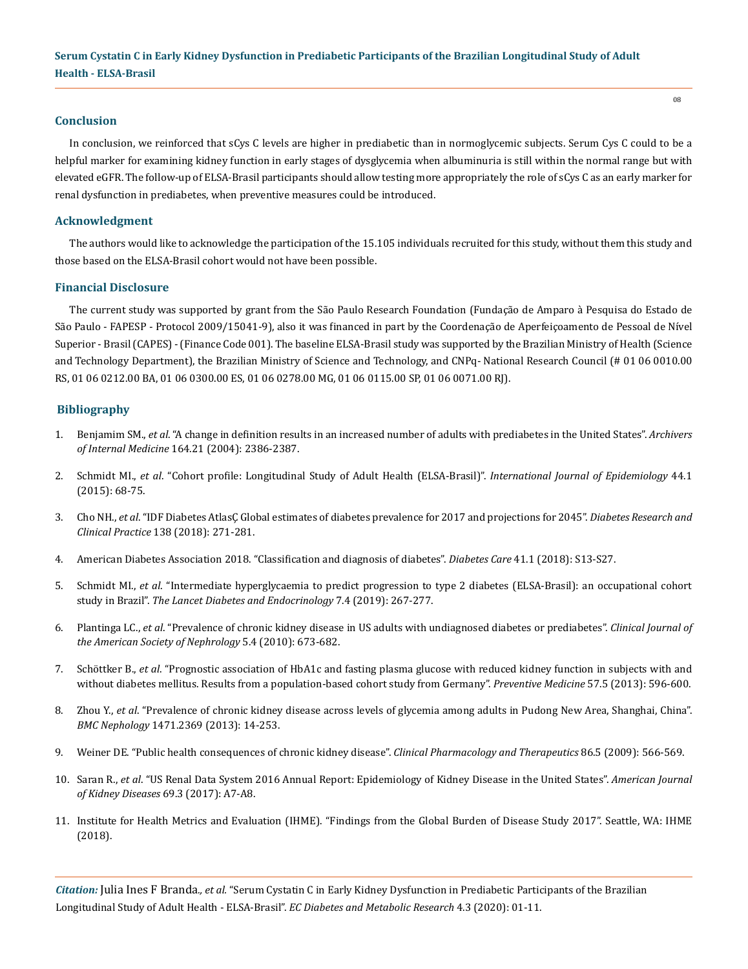### **Conclusion**

In conclusion, we reinforced that sCys C levels are higher in prediabetic than in normoglycemic subjects. Serum Cys C could to be a helpful marker for examining kidney function in early stages of dysglycemia when albuminuria is still within the normal range but with elevated eGFR. The follow-up of ELSA-Brasil participants should allow testing more appropriately the role of sCys C as an early marker for renal dysfunction in prediabetes, when preventive measures could be introduced.

### **Acknowledgment**

The authors would like to acknowledge the participation of the 15.105 individuals recruited for this study, without them this study and those based on the ELSA-Brasil cohort would not have been possible.

### **Financial Disclosure**

The current study was supported by grant from the São Paulo Research Foundation (Fundação de Amparo à Pesquisa do Estado de São Paulo - FAPESP - Protocol 2009/15041-9), also it was financed in part by the Coordenação de Aperfeiçoamento de Pessoal de Nível Superior - Brasil (CAPES) - (Finance Code 001). The baseline ELSA-Brasil study was supported by the Brazilian Ministry of Health (Science and Technology Department), the Brazilian Ministry of Science and Technology, and CNPq- National Research Council (# 01 06 0010.00 RS, 01 06 0212.00 BA, 01 06 0300.00 ES, 01 06 0278.00 MG, 01 06 0115.00 SP, 01 06 0071.00 RJ).

### **Bibliography**

- 1. Benjamim SM., *et al*[. "A change in definition results in an increased number of adults with prediabetes in the United States".](https://jamanetwork.com/journals/jamainternalmedicine/article-abstract/217644) *Archivers of Internal Medicine* [164.21 \(2004\): 2386-2387.](https://jamanetwork.com/journals/jamainternalmedicine/article-abstract/217644)
- 2. Schmidt MI., *et al*[. "Cohort profile: Longitudinal Study of Adult Health \(ELSA-Brasil\)".](https://www.ncbi.nlm.nih.gov/pubmed/24585730) *International Journal of Epidemiology* 44.1 [\(2015\): 68-75.](https://www.ncbi.nlm.nih.gov/pubmed/24585730)
- 3. Cho NH., *et al*[. "IDF Diabetes AtlasÇ Global estimates of diabetes prevalence for 2017 and projections for 2045".](https://www.ncbi.nlm.nih.gov/pubmed/29496507) *Diabetes Research and Clinical Practice* [138 \(2018\): 271-281.](https://www.ncbi.nlm.nih.gov/pubmed/29496507)
- 4. [American Diabetes Association 2018. "Classification and diagnosis of diabetes".](https://www.ncbi.nlm.nih.gov/pubmed/29222373) *Diabetes Care* 41.1 (2018): S13-S27.
- 5. Schmidt MI., *et al*[. "Intermediate hyperglycaemia to predict progression to type 2 diabetes \(ELSA-Brasil\): an occupational cohort](https://www.ncbi.nlm.nih.gov/pubmed/30803929)  study in Brazil". *[The Lancet Diabetes and Endocrinology](https://www.ncbi.nlm.nih.gov/pubmed/30803929)* 7.4 (2019): 267-277.
- 6. Plantinga LC., *et al*[. "Prevalence of chronic kidney disease in US adults with undiagnosed diabetes or prediabetes".](https://www.ncbi.nlm.nih.gov/pmc/articles/PMC2849697/) *Clinical Journal of [the American Society of Nephrology](https://www.ncbi.nlm.nih.gov/pmc/articles/PMC2849697/)* 5.4 (2010): 673-682.
- 7. Schöttker B., *et al*[. "Prognostic association of HbA1c and fasting plasma glucose with reduced kidney function in subjects with and](https://www.ncbi.nlm.nih.gov/pubmed/23948106)  [without diabetes mellitus. Results from a population-based cohort study from Germany".](https://www.ncbi.nlm.nih.gov/pubmed/23948106) *Preventive Medicine* 57.5 (2013): 596-600.
- 8. Zhou Y., *et al*[. "Prevalence of chronic kidney disease across levels of glycemia among adults in Pudong New Area, Shanghai, China".](https://www.ncbi.nlm.nih.gov/pubmed/24238578)  *BMC Nephology* [1471.2369 \(2013\): 14-253.](https://www.ncbi.nlm.nih.gov/pubmed/24238578)
- 9. [Weiner DE. "Public health consequences of chronic kidney disease".](https://www.ncbi.nlm.nih.gov/pmc/articles/PMC2788514/) *Clinical Pharmacology and Therapeutics* 86.5 (2009): 566-569.
- 10. Saran R., *et al*[. "US Renal Data System 2016 Annual Report: Epidemiology of Kidney Disease in the United States".](https://www.ncbi.nlm.nih.gov/pubmed/28236831) *American Journal of Kidney Diseases* [69.3 \(2017\): A7-A8.](https://www.ncbi.nlm.nih.gov/pubmed/28236831)
- 11. Institute for Health Metrics and Evaluation (IHME). "Findings from the Global Burden of Disease Study 2017". Seattle, WA: IHME (2018).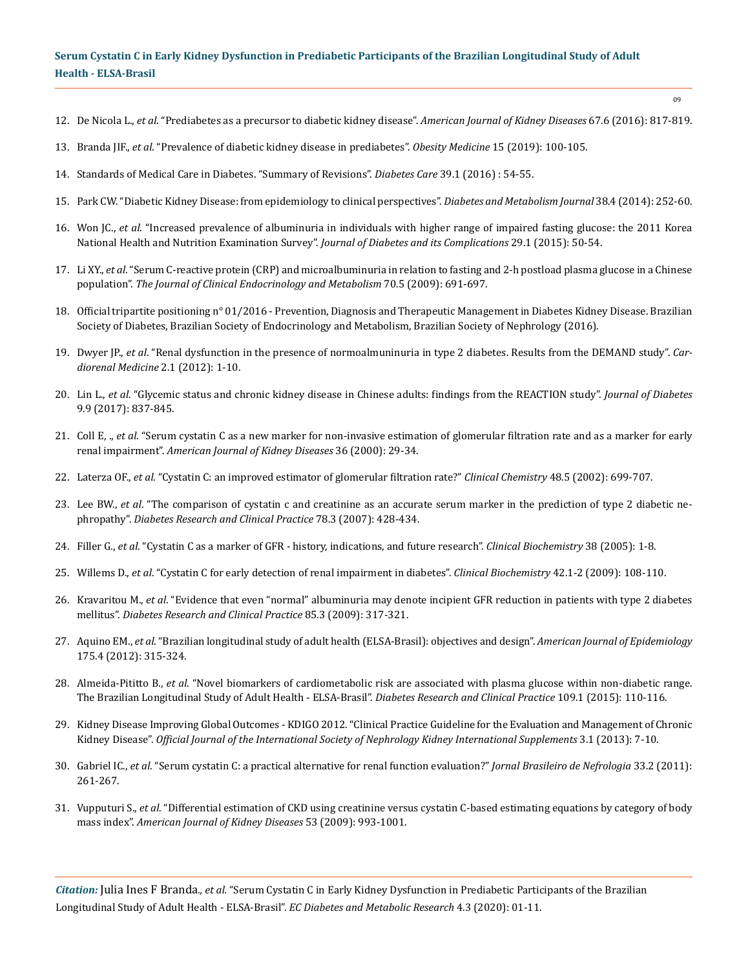- 12. De Nicola L., *et al*[. "Prediabetes as a precursor to diabetic kidney disease".](https://www.ajkd.org/article/S0272-6386(16)00642-9/fulltext) *American Journal of Kidney Diseases* 67.6 (2016): 817-819.
- 13. Branda JIF., *et al*. "Prevalence of diabetic kidney disease in prediabetes". *Obesity Medicine* 15 (2019): 100-105.
- 14. Standards of Medical Care in Diabetes. "Summary of Revisions". *Diabetes Care* 39.1 (2016) : 54-55.
- 15. [Park CW. "Diabetic Kidney Disease: from epidemiology to clinical perspectives".](https://www.ncbi.nlm.nih.gov/pmc/articles/PMC4160578/) *Diabetes and Metabolism Journal* 38.4 (2014): 252-60.
- 16. Won JC., *et al*[. "Increased prevalence of albuminuria in individuals with higher range of impaired fasting glucose: the 2011 Korea](https://www.ncbi.nlm.nih.gov/pubmed/25240717) [National Health and Nutrition Examination Survey".](https://www.ncbi.nlm.nih.gov/pubmed/25240717) *Journal of Diabetes and its Complications* 29.1 (2015): 50-54.
- 17. Li XY., *et al*[. "Serum C-reactive protein \(CRP\) and microalbuminuria in relation to fasting and 2-h postload plasma glucose in a Chinese](https://www.ncbi.nlm.nih.gov/pubmed/18691271) population". *[The Journal of Clinical Endocrinology and Metabolism](https://www.ncbi.nlm.nih.gov/pubmed/18691271)* 70.5 (2009): 691-697.
- 18. Official tripartite positioning n° 01/2016 Prevention, Diagnosis and Therapeutic Management in Diabetes Kidney Disease. Brazilian Society of Diabetes, Brazilian Society of Endocrinology and Metabolism, Brazilian Society of Nephrology (2016).
- 19. Dwyer JP., *et al*[. "Renal dysfunction in the presence of normoalmuninuria in type 2 diabetes. Results from the DEMAND study".](https://www.ncbi.nlm.nih.gov/pubmed/22493597) *Car[diorenal Medicine](https://www.ncbi.nlm.nih.gov/pubmed/22493597)* 2.1 (2012): 1-10.
- 20. Lin L., *et al*[. "Glycemic status and chronic kidney disease in Chinese adults: findings from the REACTION study".](https://www.ncbi.nlm.nih.gov/pubmed/27734593) *Journal of Diabetes* [9.9 \(2017\): 837-845.](https://www.ncbi.nlm.nih.gov/pubmed/27734593)
- 21. Coll E, ., *et al*[. "Serum cystatin C as a new marker for non-invasive estimation of glomerular filtration rate and as a marker for early](https://www.ajkd.org/article/S0272-6386(00)75804-5/abstract)  renal impairment". *[American Journal of Kidney Diseases](https://www.ajkd.org/article/S0272-6386(00)75804-5/abstract)* 36 (2000): 29-34.
- 22. Laterza OF., *et al*[. "Cystatin C: an improved estimator of glomerular filtration rate?"](https://www.ncbi.nlm.nih.gov/pubmed/11978596) *Clinical Chemistry* 48.5 (2002): 699-707.
- 23. Lee BW., *et al*[. "The comparison of cystatin c and creatinine as an accurate serum marker in the prediction of type 2 diabetic ne](https://www.ncbi.nlm.nih.gov/pubmed/17822797)phropathy". *[Diabetes Research and Clinical Practice](https://www.ncbi.nlm.nih.gov/pubmed/17822797)* 78.3 (2007): 428-434.
- 24. Filler G., *et al*[. "Cystatin C as a marker of GFR history, indications, and future research".](https://www.sciencedirect.com/science/article/pii/S0009912004002838) *Clinical Biochemistry* 38 (2005): 1-8.
- 25. Willems D., *et al*[. "Cystatin C for early detection of renal impairment in diabetes".](https://www.ncbi.nlm.nih.gov/pubmed/18983837) *Clinical Biochemistry* 42.1-2 (2009): 108-110.
- 26. Kravaritou M., *et al*[. "Evidence that even "normal" albuminuria may denote incipient GFR reduction in patients with type 2 diabetes](https://www.ncbi.nlm.nih.gov/pubmed/19596469)  mellitus". *[Diabetes Research and Clinical Practice](https://www.ncbi.nlm.nih.gov/pubmed/19596469)* 85.3 (2009): 317-321.
- 27. Aquino EM., *et al*[. "Brazilian longitudinal study of adult health \(ELSA-Brasil\): objectives and design".](https://www.ncbi.nlm.nih.gov/pubmed/22234482) *American Journal of Epidemiology* [175.4 \(2012\): 315-324.](https://www.ncbi.nlm.nih.gov/pubmed/22234482)
- 28. Almeida-Pititto B., *et al*[. "Novel biomarkers of cardiometabolic risk are associated with plasma glucose within non-diabetic range.](https://www.ncbi.nlm.nih.gov/pubmed/25958099)  [The Brazilian Longitudinal Study of Adult Health - ELSA-Brasil".](https://www.ncbi.nlm.nih.gov/pubmed/25958099) *Diabetes Research and Clinical Practice* 109.1 (2015): 110-116.
- 29. [Kidney Disease Improving Global Outcomes KDIGO 2012. "Clinical Practice Guideline for the Evaluation and Management of Chronic](https://www.researchgate.net/publication/304927698_Clinical_practice_guideline_for_the_evaluation_and_management_of_chronic_kidney_disease)  Kidney Disease". *[Official Journal of the International Society of Nephrology](https://www.researchgate.net/publication/304927698_Clinical_practice_guideline_for_the_evaluation_and_management_of_chronic_kidney_disease) Kidney International Supplements* 3.1 (2013): 7-10.
- 30. Gabriel IC., *et al*[. "Serum cystatin C: a practical alternative for renal function evaluation?"](https://www.ncbi.nlm.nih.gov/pubmed/21789445) *Jornal Brasileiro de Nefrologia* 33.2 (2011): [261-267.](https://www.ncbi.nlm.nih.gov/pubmed/21789445)
- 31. Vupputuri S., *et al*[. "Differential estimation of CKD using creatinine versus cystatin C-based estimating equations by category of body](https://www.ncbi.nlm.nih.gov/pmc/articles/PMC3028436/)  mass index". *[American Journal of Kidney Diseases](https://www.ncbi.nlm.nih.gov/pmc/articles/PMC3028436/)* 53 (2009): 993-1001.

*Citation:* Julia Ines F Branda*., et al.* "Serum Cystatin C in Early Kidney Dysfunction in Prediabetic Participants of the Brazilian Longitudinal Study of Adult Health - ELSA-Brasil". *EC Diabetes and Metabolic Research* 4.3 (2020): 01-11.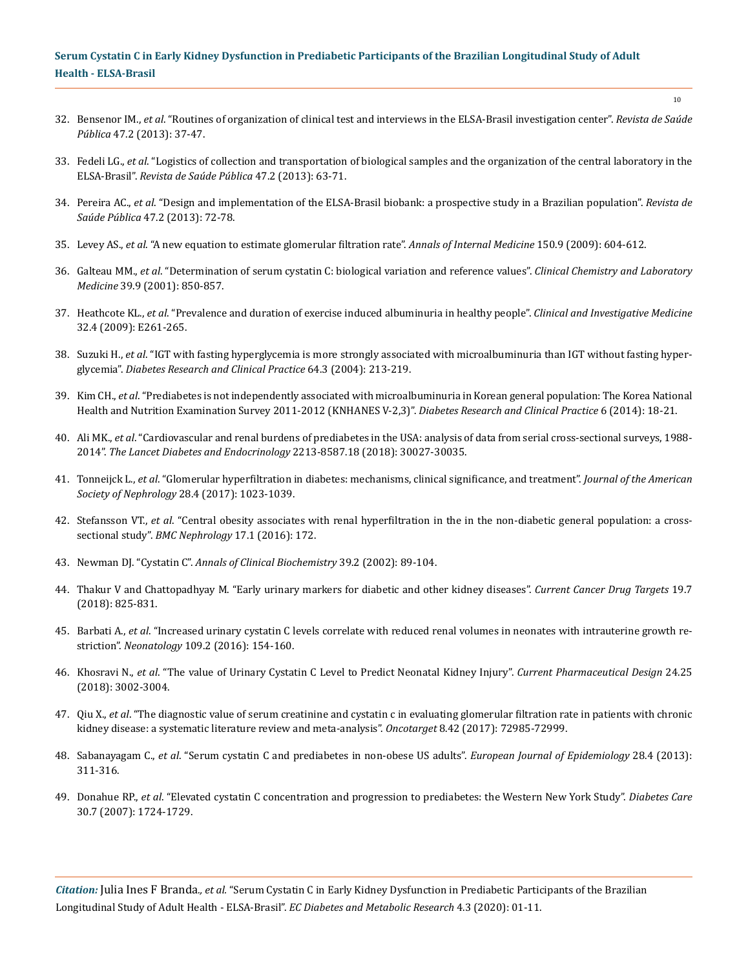- 32. Bensenor IM., *et al*[. "Routines of organization of clinical test and interviews in the ELSA-Brasil investigation center".](http://www.scielo.br/scielo.php?script=sci_abstract&pid=S0034-89102013000800037&lng=en&nrm=iso) *Revista de Saúde Pública* [47.2 \(2013\): 37-47.](http://www.scielo.br/scielo.php?script=sci_abstract&pid=S0034-89102013000800037&lng=en&nrm=iso)
- 33. Fedeli LG., *et al*[. "Logistics of collection and transportation of biological samples and the organization of the central laboratory in the](https://www.ncbi.nlm.nih.gov/pubmed/24346722)  ELSA-Brasil". *[Revista de Saúde Pública](https://www.ncbi.nlm.nih.gov/pubmed/24346722)* 47.2 (2013): 63-71.
- 34. Pereira AC., *et al*[. "Design and implementation of the ELSA-Brasil biobank: a prospective study in a Brazilian population".](https://www.ncbi.nlm.nih.gov/pubmed/24346723) *Revista de Saúde Pública* [47.2 \(2013\): 72-78.](https://www.ncbi.nlm.nih.gov/pubmed/24346723)
- 35. Levey AS., *et al*[. "A new equation to estimate glomerular filtration rate".](https://www.ncbi.nlm.nih.gov/pubmed/19414839) *Annals of Internal Medicine* 150.9 (2009): 604-612.
- 36. Galteau MM., *et al*[. "Determination of serum cystatin C: biological variation and reference values".](https://www.degruyter.com/view/j/cclm.2001.39.issue-9/cclm.2001.141/cclm.2001.141.xml) *Clinical Chemistry and Laboratory Medicine* [39.9 \(2001\): 850-857.](https://www.degruyter.com/view/j/cclm.2001.39.issue-9/cclm.2001.141/cclm.2001.141.xml)
- 37. Heathcote KL., *et al*[. "Prevalence and duration of exercise induced albuminuria in healthy people".](https://www.ncbi.nlm.nih.gov/pubmed/19640328) *Clinical and Investigative Medicine* [32.4 \(2009\): E261-265.](https://www.ncbi.nlm.nih.gov/pubmed/19640328)
- 38. Suzuki H., *et al*[. "IGT with fasting hyperglycemia is more strongly associated with microalbuminuria than IGT without fasting hyper](https://www.ncbi.nlm.nih.gov/pubmed/15126010)glycemia". *[Diabetes Research and Clinical Practice](https://www.ncbi.nlm.nih.gov/pubmed/15126010)* 64.3 (2004): 213-219.
- 39. Kim CH., *et al*[. "Prediabetes is not independently associated with microalbuminuria in Korean general population: The Korea National](https://www.diabetesresearchclinicalpractice.com/article/S0168-8227(14)00404-5/fulltext)  [Health and Nutrition Examination Survey 2011-2012 \(KNHANES V-2,3\)".](https://www.diabetesresearchclinicalpractice.com/article/S0168-8227(14)00404-5/fulltext) *Diabetes Research and Clinical Practice* 6 (2014): 18-21.
- 40. Ali MK., *et al*[. "Cardiovascular and renal burdens of prediabetes in the USA: analysis of data from serial cross-sectional surveys, 1988-](https://www.ncbi.nlm.nih.gov/pubmed/29500121) 2014". *[The Lancet Diabetes and Endocrinology](https://www.ncbi.nlm.nih.gov/pubmed/29500121)* 2213-8587.18 (2018): 30027-30035.
- 41. Tonneijck L., *et al*[. "Glomerular hyperfiltration in diabetes: mechanisms, clinical significance, and treatment".](https://www.ncbi.nlm.nih.gov/pubmed/28143897) *Journal of the American [Society of Nephrology](https://www.ncbi.nlm.nih.gov/pubmed/28143897)* 28.4 (2017): 1023-1039.
- 42. Stefansson VT., *et al*[. "Central obesity associates with renal hyperfiltration in the in the non-diabetic general population: a cross](https://www.ncbi.nlm.nih.gov/pubmed/27832768)sectional study". *[BMC Nephrology](https://www.ncbi.nlm.nih.gov/pubmed/27832768)* 17.1 (2016): 172.
- 43. Newman DJ. "Cystatin C". *[Annals of Clinical Biochemistry](https://www.ncbi.nlm.nih.gov/pubmed/11928770)* 39.2 (2002): 89-104.
- 44. [Thakur V and Chattopadhyay M. "Early urinary markers for diabetic and other kidney diseases".](https://www.ncbi.nlm.nih.gov/pubmed/29552988) *Current Cancer Drug Targets* 19.7 [\(2018\): 825-831.](https://www.ncbi.nlm.nih.gov/pubmed/29552988)
- 45. Barbati A., *et al*[. "Increased urinary cystatin C levels correlate with reduced renal volumes in neonates with intrauterine growth re](https://www.ncbi.nlm.nih.gov/pubmed/26756983)striction". *Neonatology* [109.2 \(2016\): 154-160.](https://www.ncbi.nlm.nih.gov/pubmed/26756983)
- 46. Khosravi N., *et al*[. "The value of Urinary Cystatin C Level to Predict Neonatal Kidney Injury".](https://www.ncbi.nlm.nih.gov/pubmed/30227813) *Current Pharmaceutical Design* 24.25 [\(2018\): 3002-3004.](https://www.ncbi.nlm.nih.gov/pubmed/30227813)
- 47. Qiu X., *et al*[. "The diagnostic value of serum creatinine and cystatin c in evaluating glomerular filtration rate in patients with chronic](https://www.ncbi.nlm.nih.gov/pmc/articles/PMC5641185/) [kidney disease: a systematic literature review and meta-analysis".](https://www.ncbi.nlm.nih.gov/pmc/articles/PMC5641185/) *Oncotarget* 8.42 (2017): 72985-72999.
- 48. Sabanayagam C., *et al*[. "Serum cystatin C and prediabetes in non-obese US adults".](https://www.researchgate.net/publication/235649870_Serum_cystatin_C_and_prediabetes_in_non-obese_US_adults) *European Journal of Epidemiology* 28.4 (2013): [311-316.](https://www.researchgate.net/publication/235649870_Serum_cystatin_C_and_prediabetes_in_non-obese_US_adults)
- 49. Donahue RP., *et al*[. "Elevated cystatin C concentration and progression to prediabetes: the Western New York Study".](https://www.ncbi.nlm.nih.gov/pubmed/17456840) *Diabetes Care* [30.7 \(2007\): 1724-1729.](https://www.ncbi.nlm.nih.gov/pubmed/17456840)

*Citation:* Julia Ines F Branda*., et al.* "Serum Cystatin C in Early Kidney Dysfunction in Prediabetic Participants of the Brazilian Longitudinal Study of Adult Health - ELSA-Brasil". *EC Diabetes and Metabolic Research* 4.3 (2020): 01-11.